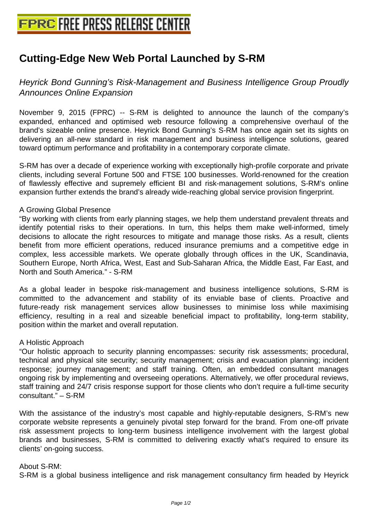# **[Cutting-Edge New Web Portal Laun](http://www.free-press-release-center.info)ched by S-RM**

Heyrick Bond Gunning's Risk-Management and Business Intelligence Group Proudly Announces Online Expansion

November 9, 2015 (FPRC) -- S-RM is delighted to announce the launch of the company's expanded, enhanced and optimised web resource following a comprehensive overhaul of the brand's sizeable online presence. Heyrick Bond Gunning's S-RM has once again set its sights on delivering an all-new standard in risk management and business intelligence solutions, geared toward optimum performance and profitability in a contemporary corporate climate.

S-RM has over a decade of experience working with exceptionally high-profile corporate and private clients, including several Fortune 500 and FTSE 100 businesses. World-renowned for the creation of flawlessly effective and supremely efficient BI and risk-management solutions, S-RM's online expansion further extends the brand's already wide-reaching global service provision fingerprint.

### A Growing Global Presence

"By working with clients from early planning stages, we help them understand prevalent threats and identify potential risks to their operations. In turn, this helps them make well-informed, timely decisions to allocate the right resources to mitigate and manage those risks. As a result, clients benefit from more efficient operations, reduced insurance premiums and a competitive edge in complex, less accessible markets. We operate globally through offices in the UK, Scandinavia, Southern Europe, North Africa, West, East and Sub-Saharan Africa, the Middle East, Far East, and North and South America." - S-RM

As a global leader in bespoke risk-management and business intelligence solutions, S-RM is committed to the advancement and stability of its enviable base of clients. Proactive and future-ready risk management services allow businesses to minimise loss while maximising efficiency, resulting in a real and sizeable beneficial impact to profitability, long-term stability, position within the market and overall reputation.

## A Holistic Approach

"Our holistic approach to security planning encompasses: security risk assessments; procedural, technical and physical site security; security management; crisis and evacuation planning; incident response; journey management; and staff training. Often, an embedded consultant manages ongoing risk by implementing and overseeing operations. Alternatively, we offer procedural reviews, staff training and 24/7 crisis response support for those clients who don't require a full-time security consultant." – S-RM

With the assistance of the industry's most capable and highly-reputable designers, S-RM's new corporate website represents a genuinely pivotal step forward for the brand. From one-off private risk assessment projects to long-term business intelligence involvement with the largest global brands and businesses, S-RM is committed to delivering exactly what's required to ensure its clients' on-going success.

#### About S-RM:

S-RM is a global business intelligence and risk management consultancy firm headed by Heyrick